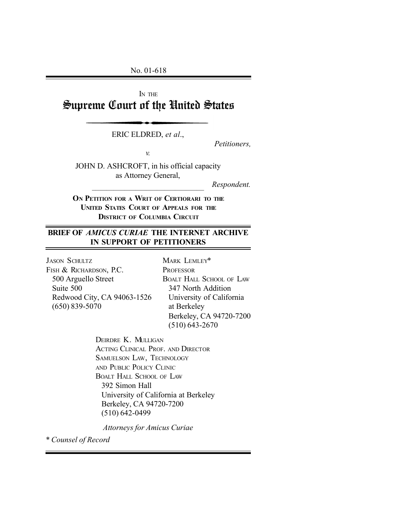No. 01-618

# IN THE Supreme Court of the United States

ERIC ELDRED, *et al*.,

*Petitioners,*

*v.*

JOHN D. ASHCROFT, in his official capacity as Attorney General,

 $\overline{\phantom{a}}$  , where  $\overline{\phantom{a}}$  , where  $\overline{\phantom{a}}$  ,  $\overline{\phantom{a}}$  ,  $\overline{\phantom{a}}$  ,  $\overline{\phantom{a}}$  ,  $\overline{\phantom{a}}$  ,  $\overline{\phantom{a}}$  ,  $\overline{\phantom{a}}$  ,  $\overline{\phantom{a}}$  ,  $\overline{\phantom{a}}$  ,  $\overline{\phantom{a}}$  ,  $\overline{\phantom{a}}$  ,  $\overline{\phantom{a}}$  ,  $\overline{\phantom{a}}$  ,

*Respondent.*

**ON PETITION FOR A WRIT OF CERTIORARI TO THE UNITED STATES COURT OF APPEALS FOR THE DISTRICT OF COLUMBIA CIRCUIT**

# **BRIEF OF** *AMICUS CURIAE* **THE INTERNET ARCHIVE IN SUPPORT OF PETITIONERS**

JASON SCHULTZ FISH & RICHARDSON, P.C. 500 Arguello Street Suite 500 Redwood City, CA 94063-1526 (650) 839-5070

MARK LEMLEY\* **PROFESSOR** BOALT HALL SCHOOL OF LAW 347 North Addition University of California at Berkeley Berkeley, CA 94720-7200 (510) 643-2670

DEIRDRE K. MULLIGAN ACTING CLINICAL PROF. AND DIRECTOR SAMUELSON LAW, TECHNOLOGY AND PUBLIC POLICY CLINIC BOALT HALL SCHOOL OF LAW 392 Simon Hall University of California at Berkeley Berkeley, CA 94720-7200 (510) 642-0499

*Attorneys for Amicus Curiae*

*\* Counsel of Record*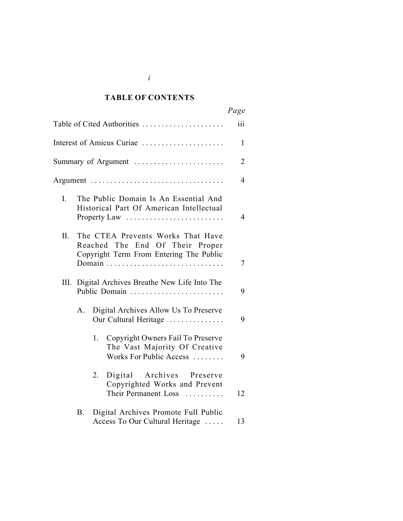#### *Cited Authorities* **TABLE OF CONTENTS**

|              |                                                                                                                 | Page           |
|--------------|-----------------------------------------------------------------------------------------------------------------|----------------|
|              | Table of Cited Authorities                                                                                      | iii            |
|              | Interest of Amicus Curiae                                                                                       | $\mathbf{1}$   |
|              | Summary of Argument                                                                                             | $\overline{2}$ |
|              | Argument                                                                                                        | 4              |
| $\mathbf{L}$ | The Public Domain Is An Essential And<br>Historical Part Of American Intellectual<br>Property Law               | $\overline{4}$ |
| Π.           | The CTEA Prevents Works That Have<br>Reached The End Of Their Proper<br>Copyright Term From Entering The Public | 7              |
| III.         | Digital Archives Breathe New Life Into The<br>Public Domain                                                     | 9              |
| A.           | Digital Archives Allow Us To Preserve<br>Our Cultural Heritage                                                  | 9              |
|              | Copyright Owners Fail To Preserve<br>1.<br>The Vast Majority Of Creative<br>Works For Public Access             | 9              |
|              | 2.<br>Digital Archives Preserve<br>Copyrighted Works and Prevent<br>Their Permanent Loss                        | 12             |
| B.           | Digital Archives Promote Full Public<br>Access To Our Cultural Heritage                                         | 13             |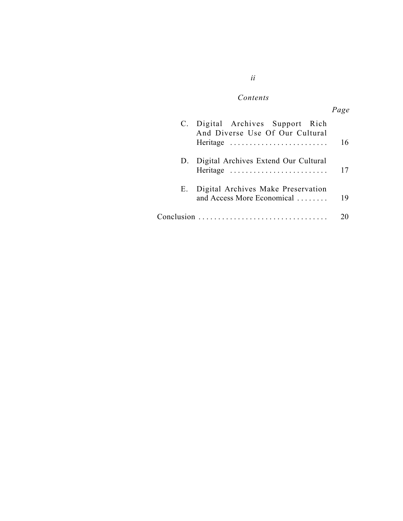# $Contents$

|    |                                                                                      | Page |
|----|--------------------------------------------------------------------------------------|------|
|    | C. Digital Archives Support Rich<br>And Diverse Use Of Our Cultural<br>Heritage      | 16   |
| D. | Digital Archives Extend Our Cultural<br>Heritage                                     | 17   |
| Е. | Digital Archives Make Preservation<br>and Access More Economical                     | 19   |
|    | $Conclusion \dots \dots \dots \dots \dots \dots \dots \dots \dots \dots \dots \dots$ |      |

# *ii*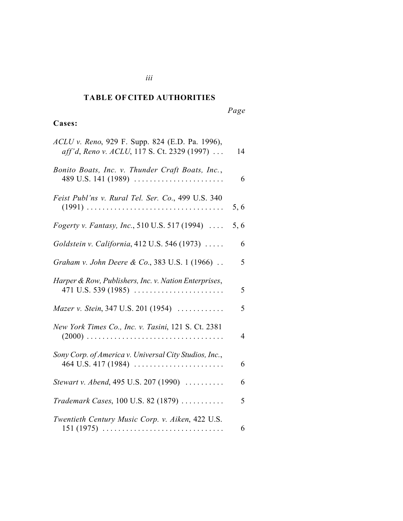#### *Cited Authorities* **TABLE OF CITED AUTHORITIES**

*iii*

*Page*

# **Cases:**

| ACLU v. Reno, 929 F. Supp. 824 (E.D. Pa. 1996),<br>aff'd, Reno v. ACLU, 117 S. Ct. 2329 (1997) | 14             |
|------------------------------------------------------------------------------------------------|----------------|
| Bonito Boats, Inc. v. Thunder Craft Boats, Inc.,<br>489 U.S. 141 (1989)                        | 6              |
| Feist Publ'ns v. Rural Tel. Ser. Co., 499 U.S. 340                                             | 5, 6           |
| Fogerty v. Fantasy, Inc., 510 U.S. 517 (1994)                                                  | 5, 6           |
| Goldstein v. California, 412 U.S. 546 (1973)                                                   | 6              |
| Graham v. John Deere & Co., 383 U.S. 1 (1966)                                                  | 5              |
| Harper & Row, Publishers, Inc. v. Nation Enterprises,                                          | 5              |
| Mazer v. Stein, 347 U.S. 201 (1954)                                                            | 5              |
| New York Times Co., Inc. v. Tasini, 121 S. Ct. 2381                                            | $\overline{4}$ |
| Sony Corp. of America v. Universal City Studios, Inc.,                                         | 6              |
| Stewart v. Abend, 495 U.S. 207 (1990)                                                          | 6              |
| Trademark Cases, 100 U.S. 82 (1879)                                                            | 5              |
| Twentieth Century Music Corp. v. Aiken, 422 U.S.                                               | 6              |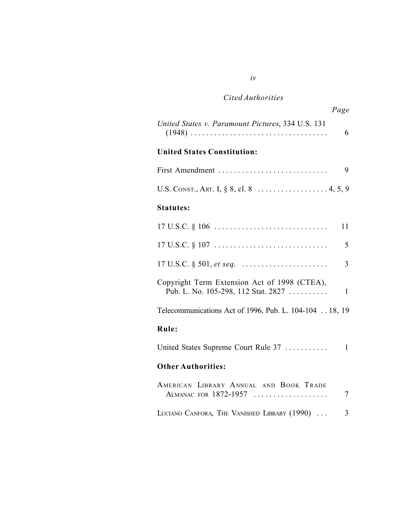# *Cited Authorities*

|                                                   | Page |
|---------------------------------------------------|------|
| United States v. Paramount Pictures, 334 U.S. 131 |      |
|                                                   |      |

# **United States Constitution:**

| U.S. CONST., ART. I, § 8, cl. 8 4, 5, 9 |  |
|-----------------------------------------|--|

### **Statutes:**

| $17 \text{ U.S.C.} \S 106 \ldots \ldots \ldots \ldots \ldots \ldots \ldots \ldots$  | 11             |
|-------------------------------------------------------------------------------------|----------------|
|                                                                                     | 5              |
|                                                                                     | $\overline{3}$ |
| Copyright Term Extension Act of 1998 (CTEA),<br>Pub. L. No. 105-298, 112 Stat. 2827 | $\mathbf{1}$   |
| Telecommunications Act of 1996, Pub. L. 104-104 18, 19                              |                |
| Rule:                                                                               |                |
| United States Supreme Court Rule 37                                                 | 1              |
| <b>Other Authorities:</b>                                                           |                |
| AMERICAN LIBRARY ANNUAL AND BOOK TRADE<br>ALMANAC FOR 1872-1957                     | 7              |
| LUCIANO CANFORA, THE VANISHED LIBRARY (1990)                                        | 3              |

### *iv*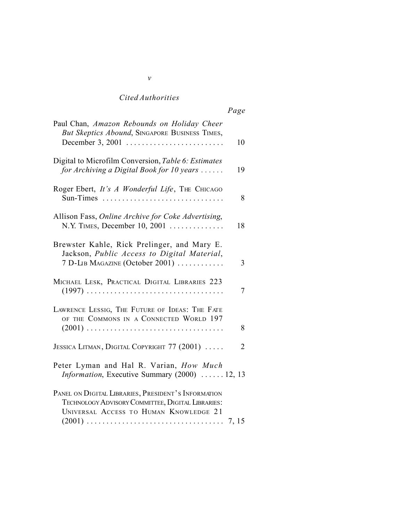# *Cited Authorities*

| Paul Chan, Amazon Rebounds on Holiday Cheer<br>But Skeptics Abound, SINGAPORE BUSINESS TIMES,                                                      | 10             |
|----------------------------------------------------------------------------------------------------------------------------------------------------|----------------|
| Digital to Microfilm Conversion, Table 6: Estimates<br>for Archiving a Digital Book for 10 years                                                   | 19             |
| Roger Ebert, It's A Wonderful Life, THE CHICAGO<br>Sun-Times                                                                                       | 8              |
| Allison Fass, Online Archive for Coke Advertising,<br>N.Y. TIMES, December 10, 2001                                                                | 18             |
| Brewster Kahle, Rick Prelinger, and Mary E.<br>Jackson, Public Access to Digital Material,<br>7 D-LIB MAGAZINE (October 2001)                      | 3              |
| MICHAEL LESK, PRACTICAL DIGITAL LIBRARIES 223                                                                                                      | 7              |
| LAWRENCE LESSIG, THE FUTURE OF IDEAS: THE FATE<br>OF THE COMMONS IN A CONNECTED WORLD 197                                                          | 8              |
| JESSICA LITMAN, DIGITAL COPYRIGHT 77 (2001)                                                                                                        | $\overline{2}$ |
| Peter Lyman and Hal R. Varian, How Much<br>Information, Executive Summary (2000)  12, 13                                                           |                |
| PANEL ON DIGITAL LIBRARIES, PRESIDENT'S INFORMATION<br>TECHNOLOGY ADVISORY COMMITTEE, DIGITAL LIBRARIES:<br>UNIVERSAL ACCESS TO HUMAN KNOWLEDGE 21 |                |

#### *v*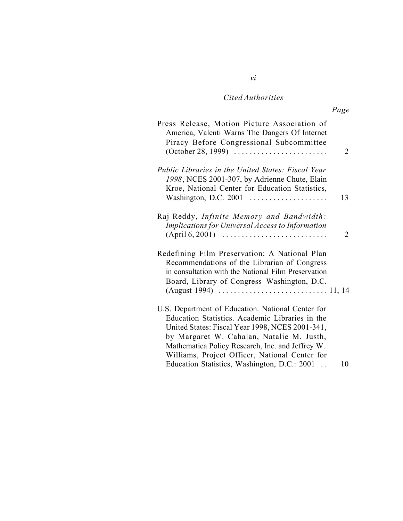# *Cited Authorities*

*vi*

| 2  | Press Release, Motion Picture Association of<br>America, Valenti Warns The Dangers Of Internet<br>Piracy Before Congressional Subcommittee                                                                                                                                                                                                                 |
|----|------------------------------------------------------------------------------------------------------------------------------------------------------------------------------------------------------------------------------------------------------------------------------------------------------------------------------------------------------------|
| 13 | Public Libraries in the United States: Fiscal Year<br>1998, NCES 2001-307, by Adrienne Chute, Elain<br>Kroe, National Center for Education Statistics,<br>Washington, D.C. 2001                                                                                                                                                                            |
| 2  | Raj Reddy, Infinite Memory and Bandwidth:<br>Implications for Universal Access to Information<br>$(April 6, 2001)$                                                                                                                                                                                                                                         |
|    | Redefining Film Preservation: A National Plan<br>Recommendations of the Librarian of Congress<br>in consultation with the National Film Preservation<br>Board, Library of Congress Washington, D.C.                                                                                                                                                        |
| 10 | U.S. Department of Education. National Center for<br>Education Statistics. Academic Libraries in the<br>United States: Fiscal Year 1998, NCES 2001-341,<br>by Margaret W. Cahalan, Natalie M. Justh,<br>Mathematica Policy Research, Inc. and Jeffrey W.<br>Williams, Project Officer, National Center for<br>Education Statistics, Washington, D.C.: 2001 |
|    |                                                                                                                                                                                                                                                                                                                                                            |

*Page*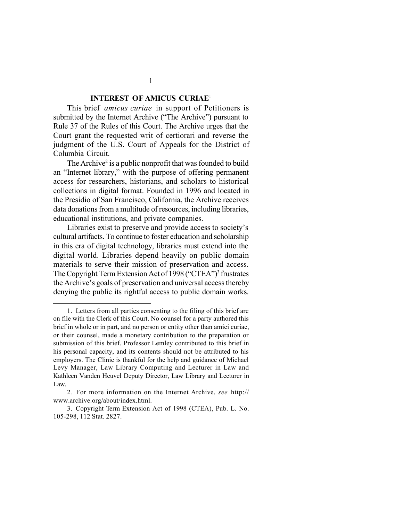### **INTEREST OF AMICUS CURIAE**<sup>1</sup>

This brief *amicus curiae* in support of Petitioners is submitted by the Internet Archive ("The Archive") pursuant to Rule 37 of the Rules of this Court. The Archive urges that the Court grant the requested writ of certiorari and reverse the judgment of the U.S. Court of Appeals for the District of Columbia Circuit.

The Archive<sup>2</sup> is a public nonprofit that was founded to build an "Internet library," with the purpose of offering permanent access for researchers, historians, and scholars to historical collections in digital format. Founded in 1996 and located in the Presidio of San Francisco, California, the Archive receives data donations from a multitude of resources, including libraries, educational institutions, and private companies.

Libraries exist to preserve and provide access to society's cultural artifacts. To continue to foster education and scholarship in this era of digital technology, libraries must extend into the digital world. Libraries depend heavily on public domain materials to serve their mission of preservation and access. The Copyright Term Extension Act of 1998 ("CTEA")<sup>3</sup> frustrates the Archive's goals of preservation and universal access thereby denying the public its rightful access to public domain works.

<sup>1.</sup> Letters from all parties consenting to the filing of this brief are on file with the Clerk of this Court. No counsel for a party authored this brief in whole or in part, and no person or entity other than amici curiae, or their counsel, made a monetary contribution to the preparation or submission of this brief. Professor Lemley contributed to this brief in his personal capacity, and its contents should not be attributed to his employers. The Clinic is thankful for the help and guidance of Michael Levy Manager, Law Library Computing and Lecturer in Law and Kathleen Vanden Heuvel Deputy Director, Law Library and Lecturer in Law.

<sup>2.</sup> For more information on the Internet Archive, *see* http:// www.archive.org/about/index.html.

<sup>3.</sup> Copyright Term Extension Act of 1998 (CTEA), Pub. L. No. 105-298, 112 Stat. 2827.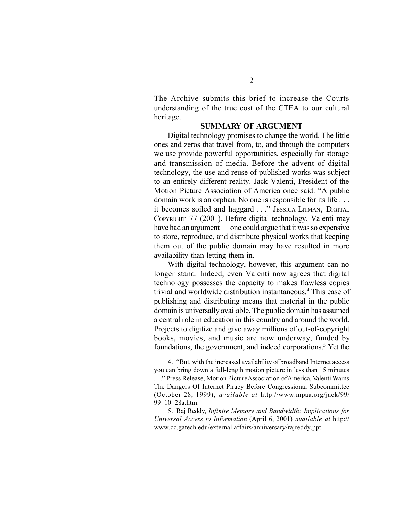The Archive submits this brief to increase the Courts understanding of the true cost of the CTEA to our cultural heritage.

#### **SUMMARY OF ARGUMENT**

Digital technology promises to change the world. The little ones and zeros that travel from, to, and through the computers we use provide powerful opportunities, especially for storage and transmission of media. Before the advent of digital technology, the use and reuse of published works was subject to an entirely different reality. Jack Valenti, President of the Motion Picture Association of America once said: "A public domain work is an orphan. No one is responsible for its life . . . it becomes soiled and haggard . . ." JESSICA LITMAN, DIGITAL COPYRIGHT 77 (2001). Before digital technology, Valenti may have had an argument — one could argue that it was so expensive to store, reproduce, and distribute physical works that keeping them out of the public domain may have resulted in more availability than letting them in.

With digital technology, however, this argument can no longer stand. Indeed, even Valenti now agrees that digital technology possesses the capacity to makes flawless copies trivial and worldwide distribution instantaneous.<sup>4</sup> This ease of publishing and distributing means that material in the public domain is universally available. The public domain has assumed a central role in education in this country and around the world. Projects to digitize and give away millions of out-of-copyright books, movies, and music are now underway, funded by foundations, the government, and indeed corporations.<sup>5</sup> Yet the

5. Raj Reddy, *Infinite Memory and Bandwidth: Implications for Universal Access to Information* (April 6, 2001) *available at* http:// www.cc.gatech.edu/external.affairs/anniversary/rajreddy.ppt.

<sup>4.</sup> "But, with the increased availability of broadband Internet access you can bring down a full-length motion picture in less than 15 minutes

<sup>.</sup> . ." Press Release, Motion Picture Association of America, Valenti Warns The Dangers Of Internet Piracy Before Congressional Subcommittee (October 28, 1999), *available at* http://www.mpaa.org/jack/99/ 99\_10\_28a.htm.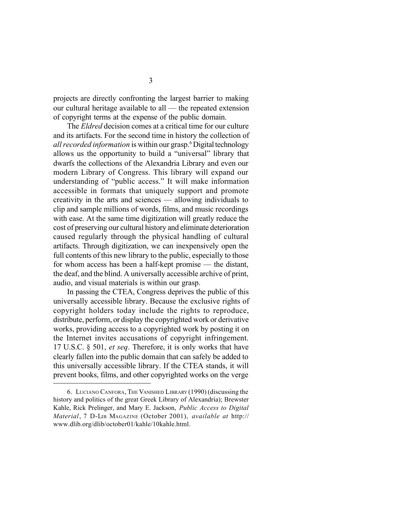projects are directly confronting the largest barrier to making our cultural heritage available to all — the repeated extension of copyright terms at the expense of the public domain.

The *Eldred* decision comes at a critical time for our culture and its artifacts. For the second time in history the collection of *all recorded information* is within our grasp.<sup>6</sup> Digital technology allows us the opportunity to build a "universal" library that dwarfs the collections of the Alexandria Library and even our modern Library of Congress. This library will expand our understanding of "public access." It will make information accessible in formats that uniquely support and promote creativity in the arts and sciences — allowing individuals to clip and sample millions of words, films, and music recordings with ease. At the same time digitization will greatly reduce the cost of preserving our cultural history and eliminate deterioration caused regularly through the physical handling of cultural artifacts. Through digitization, we can inexpensively open the full contents of this new library to the public, especially to those for whom access has been a half-kept promise — the distant, the deaf, and the blind. A universally accessible archive of print, audio, and visual materials is within our grasp.

In passing the CTEA, Congress deprives the public of this universally accessible library. Because the exclusive rights of copyright holders today include the rights to reproduce, distribute, perform, or display the copyrighted work or derivative works, providing access to a copyrighted work by posting it on the Internet invites accusations of copyright infringement. 17 U.S.C. § 501, *et seq*. Therefore, it is only works that have clearly fallen into the public domain that can safely be added to this universally accessible library. If the CTEA stands, it will prevent books, films, and other copyrighted works on the verge

<sup>6.</sup> LUCIANO CANFORA, THE VANISHED LIBRARY (1990) (discussing the history and politics of the great Greek Library of Alexandria); Brewster Kahle, Rick Prelinger, and Mary E. Jackson, *Public Access to Digital Material*, 7 D-LIB MAGAZINE (October 2001), *available at* http:// www.dlib.org/dlib/october01/kahle/10kahle.html.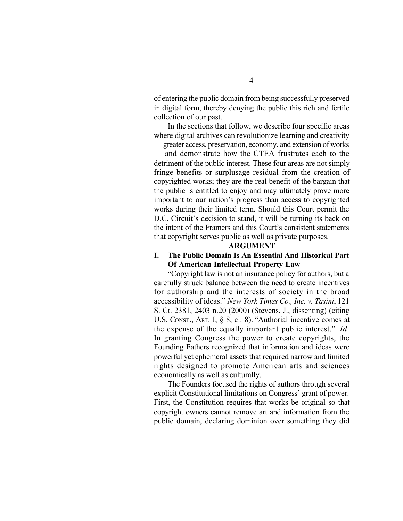of entering the public domain from being successfully preserved in digital form, thereby denying the public this rich and fertile collection of our past.

In the sections that follow, we describe four specific areas where digital archives can revolutionize learning and creativity — greater access, preservation, economy, and extension of works — and demonstrate how the CTEA frustrates each to the detriment of the public interest. These four areas are not simply fringe benefits or surplusage residual from the creation of copyrighted works; they are the real benefit of the bargain that the public is entitled to enjoy and may ultimately prove more important to our nation's progress than access to copyrighted works during their limited term. Should this Court permit the D.C. Circuit's decision to stand, it will be turning its back on the intent of the Framers and this Court's consistent statements that copyright serves public as well as private purposes.

#### **ARGUMENT**

### **I. The Public Domain Is An Essential And Historical Part Of American Intellectual Property Law**

"Copyright law is not an insurance policy for authors, but a carefully struck balance between the need to create incentives for authorship and the interests of society in the broad accessibility of ideas." *New York Times Co., Inc. v. Tasini*, 121 S. Ct. 2381, 2403 n.20 (2000) (Stevens, J., dissenting) (citing U.S. CONST., ART. I, § 8, cl. 8). "Authorial incentive comes at the expense of the equally important public interest." *Id.* In granting Congress the power to create copyrights, the Founding Fathers recognized that information and ideas were powerful yet ephemeral assets that required narrow and limited rights designed to promote American arts and sciences economically as well as culturally.

The Founders focused the rights of authors through several explicit Constitutional limitations on Congress' grant of power. First, the Constitution requires that works be original so that copyright owners cannot remove art and information from the public domain, declaring dominion over something they did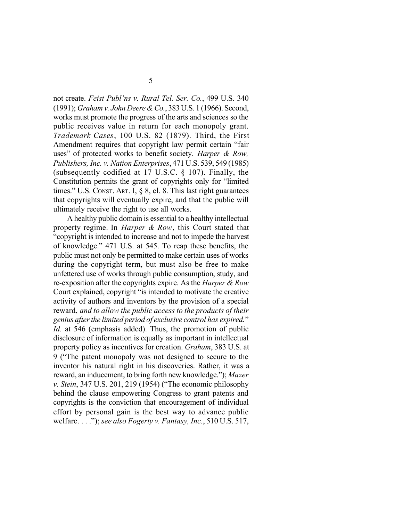not create. *Feist Publ'ns v. Rural Tel. Ser. Co.*, 499 U.S. 340 (1991); *Graham v. John Deere & Co.*, 383 U.S. 1 (1966). Second, works must promote the progress of the arts and sciences so the public receives value in return for each monopoly grant. *Trademark Cases*, 100 U.S. 82 (1879). Third, the First Amendment requires that copyright law permit certain "fair uses" of protected works to benefit society. *Harper & Row, Publishers, Inc. v. Nation Enterprises*, 471 U.S. 539, 549 (1985) (subsequently codified at 17 U.S.C. § 107). Finally, the Constitution permits the grant of copyrights only for "limited times." U.S. CONST. ART. I, § 8, cl. 8. This last right guarantees that copyrights will eventually expire, and that the public will ultimately receive the right to use all works.

A healthy public domain is essential to a healthy intellectual property regime. In *Harper & Row*, this Court stated that "copyright is intended to increase and not to impede the harvest of knowledge." 471 U.S. at 545. To reap these benefits, the public must not only be permitted to make certain uses of works during the copyright term, but must also be free to make unfettered use of works through public consumption, study, and re-exposition after the copyrights expire. As the *Harper & Row* Court explained, copyright "is intended to motivate the creative activity of authors and inventors by the provision of a special reward, *and to allow the public access to the products of their genius after the limited period of exclusive control has expired.*" *Id.* at 546 (emphasis added). Thus, the promotion of public disclosure of information is equally as important in intellectual property policy as incentives for creation. *Graham*, 383 U.S. at 9 ("The patent monopoly was not designed to secure to the inventor his natural right in his discoveries. Rather, it was a reward, an inducement, to bring forth new knowledge."); *Mazer v. Stein*, 347 U.S. 201, 219 (1954) ("The economic philosophy behind the clause empowering Congress to grant patents and copyrights is the conviction that encouragement of individual effort by personal gain is the best way to advance public welfare. . . ."); *see also Fogerty v. Fantasy, Inc.*, 510 U.S. 517,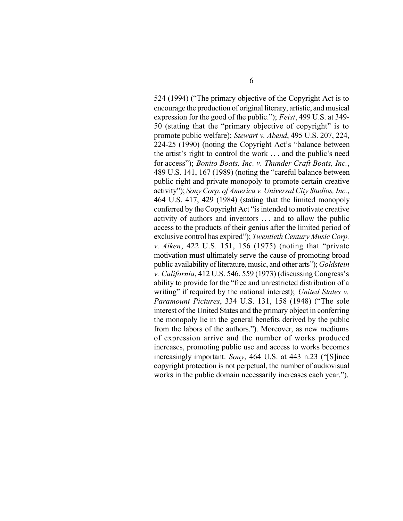524 (1994) ("The primary objective of the Copyright Act is to encourage the production of original literary, artistic, and musical expression for the good of the public."); *Feist*, 499 U.S. at 349- 50 (stating that the "primary objective of copyright" is to promote public welfare); *Stewart v. Abend*, 495 U.S. 207, 224, 224-25 (1990) (noting the Copyright Act's "balance between the artist's right to control the work . . . and the public's need for access"); *Bonito Boats, Inc. v. Thunder Craft Boats, Inc.*, 489 U.S. 141, 167 (1989) (noting the "careful balance between public right and private monopoly to promote certain creative activity"); *Sony Corp. of America v. Universal City Studios, Inc.*, 464 U.S. 417, 429 (1984) (stating that the limited monopoly conferred by the Copyright Act "is intended to motivate creative activity of authors and inventors . . . and to allow the public access to the products of their genius after the limited period of exclusive control has expired"); *Twentieth Century Music Corp. v. Aiken*, 422 U.S. 151, 156 (1975) (noting that "private motivation must ultimately serve the cause of promoting broad public availability of literature, music, and other arts"); *Goldstein v. California*, 412 U.S. 546, 559 (1973) (discussing Congress's ability to provide for the "free and unrestricted distribution of a writing" if required by the national interest); *United States v. Paramount Pictures*, 334 U.S. 131, 158 (1948) ("The sole interest of the United States and the primary object in conferring the monopoly lie in the general benefits derived by the public from the labors of the authors."). Moreover, as new mediums of expression arrive and the number of works produced increases, promoting public use and access to works becomes increasingly important. *Sony*, 464 U.S. at 443 n.23 ("[S]ince copyright protection is not perpetual, the number of audiovisual works in the public domain necessarily increases each year.").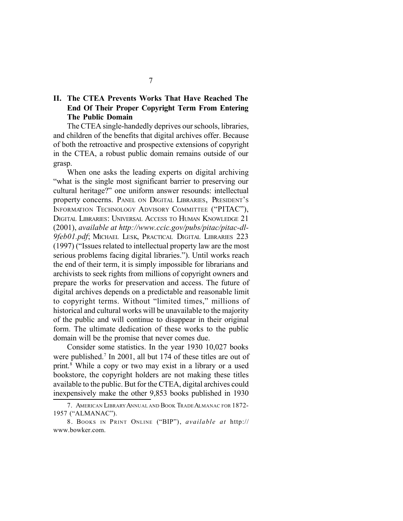# **II. The CTEA Prevents Works That Have Reached The End Of Their Proper Copyright Term From Entering The Public Domain**

The CTEA single-handedly deprives our schools, libraries, and children of the benefits that digital archives offer. Because of both the retroactive and prospective extensions of copyright in the CTEA, a robust public domain remains outside of our grasp.

When one asks the leading experts on digital archiving "what is the single most significant barrier to preserving our cultural heritage?" one uniform answer resounds: intellectual property concerns. PANEL ON DIGITAL LIBRARIES, PRESIDENT'S INFORMATION TECHNOLOGY ADVISORY COMMITTEE ("PITAC"), DIGITAL LIBRARIES: UNIVERSAL ACCESS TO HUMAN KNOWLEDGE 21 (2001), *available at http://www.ccic.gov/pubs/pitac/pitac-dl-9feb01.pdf*; MICHAEL LESK, PRACTICAL DIGITAL LIBRARIES 223 (1997) ("Issues related to intellectual property law are the most serious problems facing digital libraries."). Until works reach the end of their term, it is simply impossible for librarians and archivists to seek rights from millions of copyright owners and prepare the works for preservation and access. The future of digital archives depends on a predictable and reasonable limit to copyright terms. Without "limited times," millions of historical and cultural works will be unavailable to the majority of the public and will continue to disappear in their original form. The ultimate dedication of these works to the public domain will be the promise that never comes due.

Consider some statistics. In the year 1930 10,027 books were published.<sup>7</sup> In 2001, all but 174 of these titles are out of print.<sup>8</sup> While a copy or two may exist in a library or a used bookstore, the copyright holders are not making these titles available to the public. But for the CTEA, digital archives could inexpensively make the other 9,853 books published in 1930

<sup>7.</sup> AMERICAN LIBRARY ANNUAL AND BOOK TRADE ALMANAC FOR 1872-1957 ("ALMANAC").

<sup>8.</sup> BOOKS IN PRINT ONLINE ("BIP"), *available at* http:// www.bowker.com.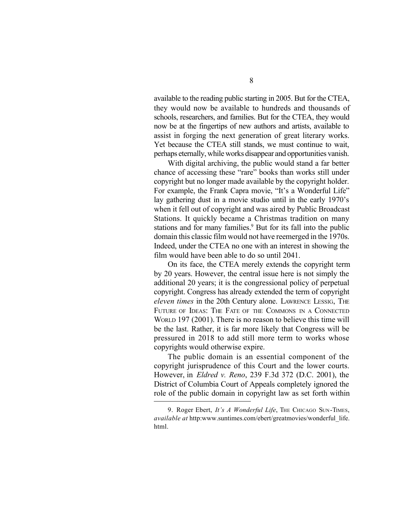available to the reading public starting in 2005. But for the CTEA, they would now be available to hundreds and thousands of schools, researchers, and families. But for the CTEA, they would now be at the fingertips of new authors and artists, available to assist in forging the next generation of great literary works. Yet because the CTEA still stands, we must continue to wait, perhaps eternally, while works disappear and opportunities vanish.

With digital archiving, the public would stand a far better chance of accessing these "rare" books than works still under copyright but no longer made available by the copyright holder. For example, the Frank Capra movie, "It's a Wonderful Life" lay gathering dust in a movie studio until in the early 1970's when it fell out of copyright and was aired by Public Broadcast Stations. It quickly became a Christmas tradition on many stations and for many families.<sup>9</sup> But for its fall into the public domain this classic film would not have reemerged in the 1970s. Indeed, under the CTEA no one with an interest in showing the film would have been able to do so until 2041.

On its face, the CTEA merely extends the copyright term by 20 years. However, the central issue here is not simply the additional 20 years; it is the congressional policy of perpetual copyright. Congress has already extended the term of copyright *eleven times* in the 20th Century alone. LAWRENCE LESSIG, THE FUTURE OF IDEAS: THE FATE OF THE COMMONS IN A CONNECTED WORLD 197 (2001). There is no reason to believe this time will be the last. Rather, it is far more likely that Congress will be pressured in 2018 to add still more term to works whose copyrights would otherwise expire.

The public domain is an essential component of the copyright jurisprudence of this Court and the lower courts. However, in *Eldred v. Reno*, 239 F.3d 372 (D.C. 2001), the District of Columbia Court of Appeals completely ignored the role of the public domain in copyright law as set forth within

<sup>9.</sup> Roger Ebert, *It's A Wonderful Life*, THE CHICAGO SUN-TIMES, *available at* http:www.suntimes.com/ebert/greatmovies/wonderful\_life. html.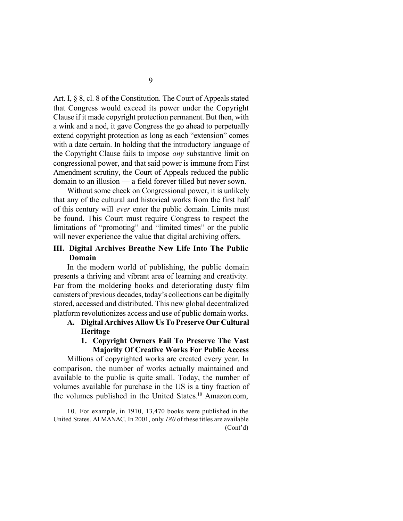Art. I, § 8, cl. 8 of the Constitution. The Court of Appeals stated that Congress would exceed its power under the Copyright Clause if it made copyright protection permanent. But then, with a wink and a nod, it gave Congress the go ahead to perpetually extend copyright protection as long as each "extension" comes with a date certain. In holding that the introductory language of the Copyright Clause fails to impose *any* substantive limit on congressional power, and that said power is immune from First Amendment scrutiny, the Court of Appeals reduced the public domain to an illusion — a field forever tilled but never sown.

Without some check on Congressional power, it is unlikely that any of the cultural and historical works from the first half of this century will *ever* enter the public domain. Limits must be found. This Court must require Congress to respect the limitations of "promoting" and "limited times" or the public will never experience the value that digital archiving offers.

## **III. Digital Archives Breathe New Life Into The Public Domain**

In the modern world of publishing, the public domain presents a thriving and vibrant area of learning and creativity. Far from the moldering books and deteriorating dusty film canisters of previous decades, today's collections can be digitally stored, accessed and distributed. This new global decentralized platform revolutionizes access and use of public domain works.

- **A. Digital Archives Allow Us To Preserve Our Cultural Heritage**
	- **1. Copyright Owners Fail To Preserve The Vast Majority Of Creative Works For Public Access**

Millions of copyrighted works are created every year. In comparison, the number of works actually maintained and available to the public is quite small. Today, the number of volumes available for purchase in the US is a tiny fraction of the volumes published in the United States.<sup>10</sup> Amazon.com,

9

<sup>10.</sup> For example, in 1910, 13,470 books were published in the United States. ALMANAC. In 2001, only *180* of these titles are available (Cont'd)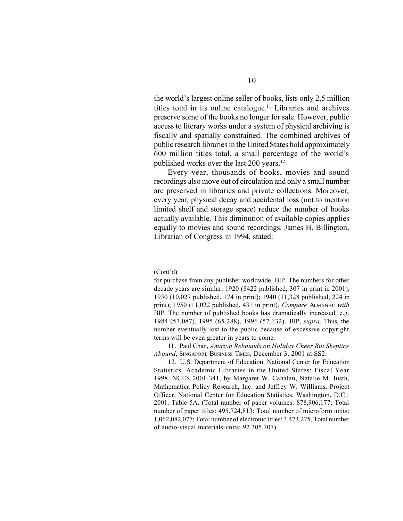the world's largest online seller of books, lists only 2.5 million titles total in its online catalogue.<sup>11</sup> Libraries and archives preserve some of the books no longer for sale. However, public access to literary works under a system of physical archiving is fiscally and spatially constrained. The combined archives of public research libraries in the United States hold approximately 600 million titles total, a small percentage of the world's published works over the last 200 years.<sup>12</sup>

Every year, thousands of books, movies and sound recordings also move out of circulation and only a small number are preserved in libraries and private collections. Moreover, every year, physical decay and accidental loss (not to mention limited shelf and storage space) reduce the number of books actually available. This diminution of available copies applies equally to movies and sound recordings. James H. Billington, Librarian of Congress in 1994, stated:

#### (Cont'd)

11. Paul Chan, *Amazon Rebounds on Holiday Cheer But Skeptics Abound*, SINGAPORE BUSINESS TIMES, December 3, 2001 at SS2.

12. U.S. Department of Education. National Center for Education Statistics. Academic Libraries in the United States: Fiscal Year 1998, NCES 2001-341, by Margaret W. Cahalan, Natalie M. Justh, Mathematica Policy Research, Inc. and Jeffrey W. Williams, Project Officer, National Center for Education Statistics, Washington, D.C.: 2001. Table 5A. (Total number of paper volumes: 878,906,177; Total number of paper titles: 495,724,813; Total number of microform units: 1,062,082,077; Total number of electronic titles: 3,473,225, Total number of audio-visual materials-units: 92,305,707).

for purchase from any publisher worldwide. BIP. The numbers for other decade years are similar: 1920 (8422 published, 307 in print in 2001); 1930 (10,027 published, 174 in print); 1940 (11,328 published, 224 in print); 1950 (11,022 published, 431 in print). *Compare* ALMANAC *with* BIP*.* The number of published books has dramatically increased, e.g. 1984 (57,087), 1995 (65,288), 1996 (57,132). BIP, *supra*. Thus, the number eventually lost to the public because of excessive copyright terms will be even greater in years to come.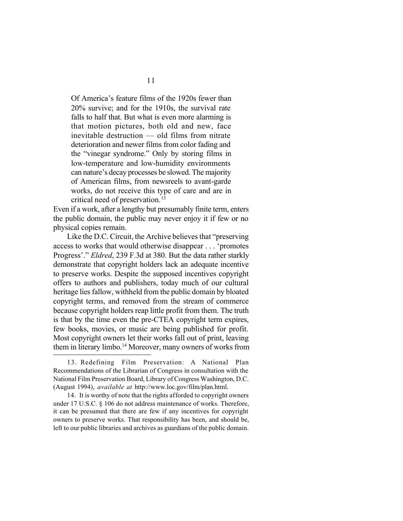Of America's feature films of the 1920s fewer than 20% survive; and for the 1910s, the survival rate falls to half that. But what is even more alarming is that motion pictures, both old and new, face inevitable destruction — old films from nitrate deterioration and newer films from color fading and the "vinegar syndrome." Only by storing films in low-temperature and low-humidity environments can nature's decay processes be slowed. The majority of American films, from newsreels to avant-garde works, do not receive this type of care and are in critical need of preservation.<sup>13</sup>

Even if a work, after a lengthy but presumably finite term, enters the public domain, the public may never enjoy it if few or no physical copies remain.

Like the D.C. Circuit, the Archive believes that "preserving access to works that would otherwise disappear . . . 'promotes Progress'." *Eldred*, 239 F.3d at 380. But the data rather starkly demonstrate that copyright holders lack an adequate incentive to preserve works. Despite the supposed incentives copyright offers to authors and publishers, today much of our cultural heritage lies fallow, withheld from the public domain by bloated copyright terms, and removed from the stream of commerce because copyright holders reap little profit from them. The truth is that by the time even the pre-CTEA copyright term expires, few books, movies, or music are being published for profit. Most copyright owners let their works fall out of print, leaving them in literary limbo.<sup>14</sup> Moreover, many owners of works from

<sup>13.</sup> Redefining Film Preservation: A National Plan Recommendations of the Librarian of Congress in consultation with the National Film Preservation Board, Library of Congress Washington, D.C. (August 1994), *available at* http://www.loc.gov/film/plan.html.

<sup>14.</sup> It is worthy of note that the rights afforded to copyright owners under 17 U.S.C. § 106 do not address maintenance of works. Therefore, it can be presumed that there are few if any incentives for copyright owners to preserve works. That responsibility has been, and should be, left to our public libraries and archives as guardians of the public domain.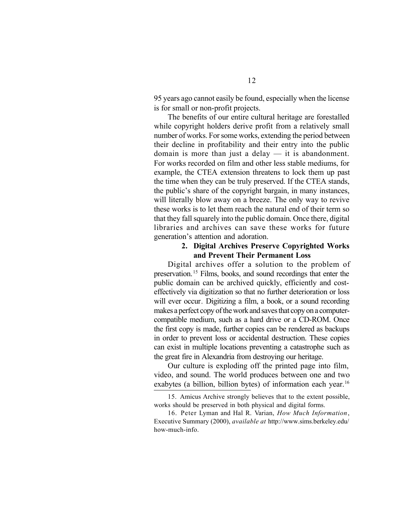95 years ago cannot easily be found, especially when the license is for small or non-profit projects.

The benefits of our entire cultural heritage are forestalled while copyright holders derive profit from a relatively small number of works. For some works, extending the period between their decline in profitability and their entry into the public domain is more than just a delay — it is abandonment. For works recorded on film and other less stable mediums, for example, the CTEA extension threatens to lock them up past the time when they can be truly preserved. If the CTEA stands, the public's share of the copyright bargain, in many instances, will literally blow away on a breeze. The only way to revive these works is to let them reach the natural end of their term so that they fall squarely into the public domain. Once there, digital libraries and archives can save these works for future generation's attention and adoration.

## **2. Digital Archives Preserve Copyrighted Works and Prevent Their Permanent Loss**

Digital archives offer a solution to the problem of preservation.<sup>15</sup> Films, books, and sound recordings that enter the public domain can be archived quickly, efficiently and costeffectively via digitization so that no further deterioration or loss will ever occur*.* Digitizing a film, a book, or a sound recording makes a perfect copy of the work and saves that copy on a computercompatible medium, such as a hard drive or a CD-ROM. Once the first copy is made, further copies can be rendered as backups in order to prevent loss or accidental destruction. These copies can exist in multiple locations preventing a catastrophe such as the great fire in Alexandria from destroying our heritage.

Our culture is exploding off the printed page into film, video, and sound. The world produces between one and two exabytes (a billion, billion bytes) of information each year.<sup>16</sup>

<sup>15.</sup> Amicus Archive strongly believes that to the extent possible, works should be preserved in both physical and digital forms.

<sup>16.</sup> Peter Lyman and Hal R. Varian, *How Much Information*, Executive Summary (2000), *available at* http://www.sims.berkeley.edu/ how-much-info.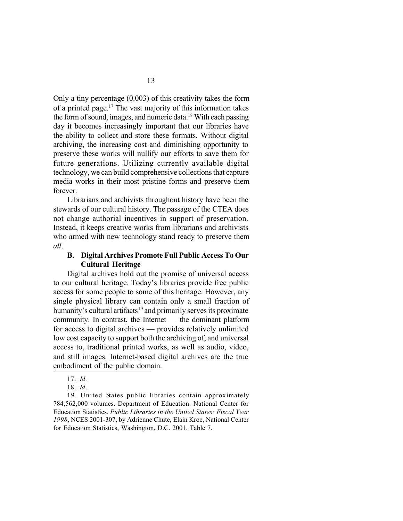Only a tiny percentage (0.003) of this creativity takes the form of a printed page.<sup>17</sup> The vast majority of this information takes the form of sound, images, and numeric data.<sup>18</sup> With each passing day it becomes increasingly important that our libraries have the ability to collect and store these formats. Without digital archiving, the increasing cost and diminishing opportunity to preserve these works will nullify our efforts to save them for future generations. Utilizing currently available digital technology, we can build comprehensive collections that capture media works in their most pristine forms and preserve them forever.

Librarians and archivists throughout history have been the stewards of our cultural history. The passage of the CTEA does not change authorial incentives in support of preservation. Instead, it keeps creative works from librarians and archivists who armed with new technology stand ready to preserve them *all*.

## **B. Digital Archives Promote Full Public Access To Our Cultural Heritage**

Digital archives hold out the promise of universal access to our cultural heritage. Today's libraries provide free public access for some people to some of this heritage. However, any single physical library can contain only a small fraction of humanity's cultural artifacts<sup>19</sup> and primarily serves its proximate community. In contrast, the Internet — the dominant platform for access to digital archives — provides relatively unlimited low cost capacity to support both the archiving of, and universal access to, traditional printed works, as well as audio, video, and still images. Internet-based digital archives are the true embodiment of the public domain.

19. United States public libraries contain approximately 784,562,000 volumes. Department of Education. National Center for Education Statistics. *Public Libraries in the United States: Fiscal Year 1998*, NCES 2001-307, by Adrienne Chute, Elain Kroe, National Center for Education Statistics, Washington, D.C. 2001. Table 7.

<sup>17.</sup> *Id*.

<sup>18.</sup> *Id*.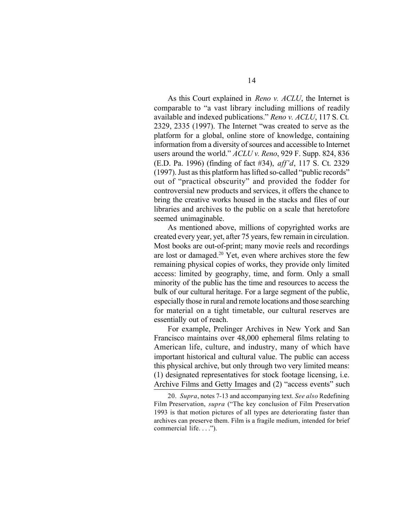As this Court explained in *Reno v. ACLU*, the Internet is comparable to "a vast library including millions of readily available and indexed publications." *Reno v. ACLU*, 117 S. Ct. 2329, 2335 (1997). The Internet "was created to serve as the platform for a global, online store of knowledge, containing information from a diversity of sources and accessible to Internet users around the world." *ACLU v. Reno*, 929 F. Supp. 824, 836 (E.D. Pa. 1996) (finding of fact #34), *aff'd*, 117 S. Ct. 2329 (1997). Just as this platform has lifted so-called "public records" out of "practical obscurity" and provided the fodder for controversial new products and services, it offers the chance to bring the creative works housed in the stacks and files of our libraries and archives to the public on a scale that heretofore seemed unimaginable.

As mentioned above, millions of copyrighted works are created every year, yet, after 75 years, few remain in circulation. Most books are out-of-print; many movie reels and recordings are lost or damaged.<sup>20</sup> Yet, even where archives store the few remaining physical copies of works, they provide only limited access: limited by geography, time, and form. Only a small minority of the public has the time and resources to access the bulk of our cultural heritage. For a large segment of the public, especially those in rural and remote locations and those searching for material on a tight timetable, our cultural reserves are essentially out of reach.

For example, Prelinger Archives in New York and San Francisco maintains over 48,000 ephemeral films relating to American life, culture, and industry, many of which have important historical and cultural value. The public can access this physical archive, but only through two very limited means: (1) designated representatives for stock footage licensing, i.e. Archive Films and Getty Images and (2) "access events" such

<sup>20.</sup> *Supra*, notes 7-13 and accompanying text. *See also* Redefining Film Preservation, *supra* ("The key conclusion of Film Preservation 1993 is that motion pictures of all types are deteriorating faster than archives can preserve them. Film is a fragile medium, intended for brief commercial life. . . .").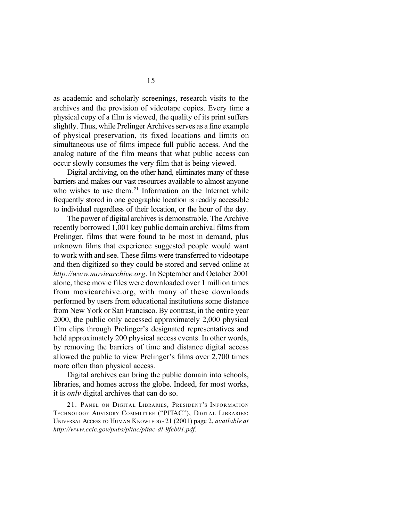as academic and scholarly screenings, research visits to the archives and the provision of videotape copies. Every time a physical copy of a film is viewed, the quality of its print suffers slightly. Thus, while Prelinger Archives serves as a fine example of physical preservation, its fixed locations and limits on simultaneous use of films impede full public access. And the analog nature of the film means that what public access can occur slowly consumes the very film that is being viewed.

Digital archiving, on the other hand, eliminates many of these barriers and makes our vast resources available to almost anyone who wishes to use them.<sup>21</sup> Information on the Internet while frequently stored in one geographic location is readily accessible to individual regardless of their location, or the hour of the day.

The power of digital archives is demonstrable. The Archive recently borrowed 1,001 key public domain archival films from Prelinger, films that were found to be most in demand, plus unknown films that experience suggested people would want to work with and see. These films were transferred to videotape and then digitized so they could be stored and served online at *http://www.moviearchive.org*. In September and October 2001 alone, these movie files were downloaded over 1 million times from moviearchive.org, with many of these downloads performed by users from educational institutions some distance from New York or San Francisco. By contrast, in the entire year 2000, the public only accessed approximately 2,000 physical film clips through Prelinger's designated representatives and held approximately 200 physical access events. In other words, by removing the barriers of time and distance digital access allowed the public to view Prelinger's films over 2,700 times more often than physical access.

Digital archives can bring the public domain into schools, libraries, and homes across the globe. Indeed, for most works, it is *only* digital archives that can do so.

<sup>21.</sup> PANEL ON DIGITAL LIBRARIES, PRESIDENT'S INFORMATION TECHNOLOGY ADVISORY COMMITTEE ("PITAC"), DIGITAL LIBRARIES: UNIVERSAL ACCESS TO HUMAN KNOWLEDGE 21 (2001) page 2, *available at http://www.ccic.gov/pubs/pitac/pitac-dl-9feb01.pdf.*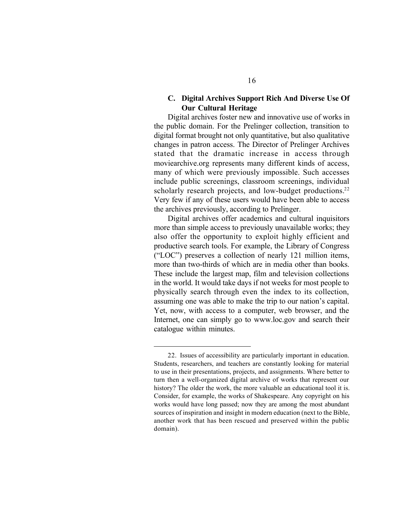### **C. Digital Archives Support Rich And Diverse Use Of Our Cultural Heritage**

Digital archives foster new and innovative use of works in the public domain. For the Prelinger collection, transition to digital format brought not only quantitative, but also qualitative changes in patron access. The Director of Prelinger Archives stated that the dramatic increase in access through moviearchive.org represents many different kinds of access, many of which were previously impossible. Such accesses include public screenings, classroom screenings, individual scholarly research projects, and low-budget productions.<sup>22</sup> Very few if any of these users would have been able to access the archives previously, according to Prelinger.

Digital archives offer academics and cultural inquisitors more than simple access to previously unavailable works; they also offer the opportunity to exploit highly efficient and productive search tools. For example, the Library of Congress ("LOC") preserves a collection of nearly 121 million items, more than two-thirds of which are in media other than books. These include the largest map, film and television collections in the world. It would take days if not weeks for most people to physically search through even the index to its collection, assuming one was able to make the trip to our nation's capital. Yet, now, with access to a computer, web browser, and the Internet, one can simply go to www.loc.gov and search their catalogue within minutes.

<sup>22.</sup> Issues of accessibility are particularly important in education. Students, researchers, and teachers are constantly looking for material to use in their presentations, projects, and assignments. Where better to turn then a well-organized digital archive of works that represent our history? The older the work, the more valuable an educational tool it is. Consider, for example, the works of Shakespeare. Any copyright on his works would have long passed; now they are among the most abundant sources of inspiration and insight in modern education (next to the Bible, another work that has been rescued and preserved within the public domain).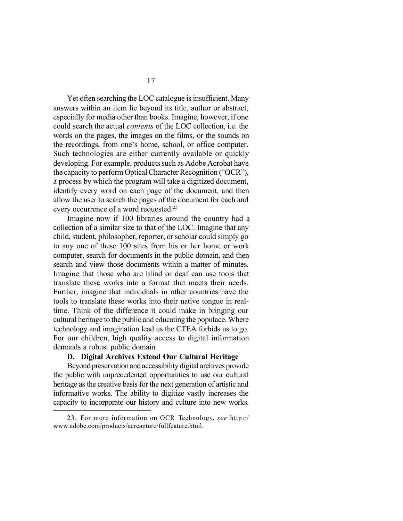Yet often searching the LOC catalogue is insufficient. Many answers within an item lie beyond its title, author or abstract, especially for media other than books. Imagine, however, if one could search the actual *contents* of the LOC collection, i.e. the words on the pages, the images on the films, or the sounds on the recordings, from one's home, school, or office computer. Such technologies are either currently available or quickly developing. For example, products such as Adobe Acrobat have the capacity to perform Optical Character Recognition ("OCR"), a process by which the program will take a digitized document, identify every word on each page of the document, and then allow the user to search the pages of the document for each and every occurrence of a word requested.<sup>23</sup>

Imagine now if 100 libraries around the country had a collection of a similar size to that of the LOC. Imagine that any child, student, philosopher, reporter, or scholar could simply go to any one of these 100 sites from his or her home or work computer, search for documents in the public domain, and then search and view those documents within a matter of minutes. Imagine that those who are blind or deaf can use tools that translate these works into a format that meets their needs. Further, imagine that individuals in other countries have the tools to translate these works into their native tongue in realtime. Think of the difference it could make in bringing our cultural heritage to the public and educating the populace. Where technology and imagination lead us the CTEA forbids us to go. For our children, high quality access to digital information demands a robust public domain.

#### **D. Digital Archives Extend Our Cultural Heritage**

Beyond preservation and accessibility digital archives provide the public with unprecedented opportunities to use our cultural heritage as the creative basis for the next generation of artistic and informative works. The ability to digitize vastly increases the capacity to incorporate our history and culture into new works.

<sup>23.</sup> For more information on OCR Technology, *see* http:// www.adobe.com/products/acrcapture/fullfeature.html.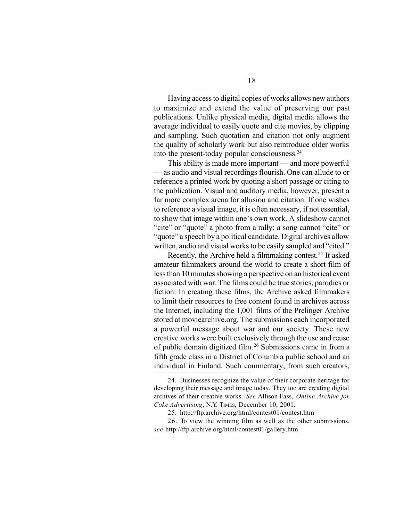Having access to digital copies of works allows new authors to maximize and extend the value of preserving our past publications. Unlike physical media, digital media allows the average individual to easily quote and cite movies, by clipping and sampling. Such quotation and citation not only augment the quality of scholarly work but also reintroduce older works into the present-today popular consciousness. $24$ 

This ability is made more important — and more powerful — as audio and visual recordings flourish. One can allude to or reference a printed work by quoting a short passage or citing to the publication. Visual and auditory media, however, present a far more complex arena for allusion and citation. If one wishes to reference a visual image, it is often necessary, if not essential, to show that image within one's own work. A slideshow cannot "cite" or "quote" a photo from a rally; a song cannot "cite" or "quote" a speech by a political candidate. Digital archives allow written, audio and visual works to be easily sampled and "cited."

Recently, the Archive held a filmmaking contest.<sup>25</sup> It asked amateur filmmakers around the world to create a short film of less than 10 minutes showing a perspective on an historical event associated with war. The films could be true stories, parodies or fiction. In creating these films, the Archive asked filmmakers to limit their resources to free content found in archives across the Internet, including the 1,001 films of the Prelinger Archive stored at moviearchive.org. The submissions each incorporated a powerful message about war and our society. These new creative works were built exclusively through the use and reuse of public domain digitized film. <sup>26</sup> Submissions came in from a fifth grade class in a District of Columbia public school and an individual in Finland. Such commentary, from such creators,

<sup>24.</sup> Businesses recognize the value of their corporate heritage for developing their message and image today. They too are creating digital archives of their creative works. *See* Allison Fass, *Online Archive for Coke Advertising*, N.Y. TIMES, December 10, 2001.

<sup>25.</sup> http://ftp.archive.org/html/contest01/contest.htm

<sup>26.</sup> To view the winning film as well as the other submissions, *see* http://ftp.archive.org/html/contest01/gallery.htm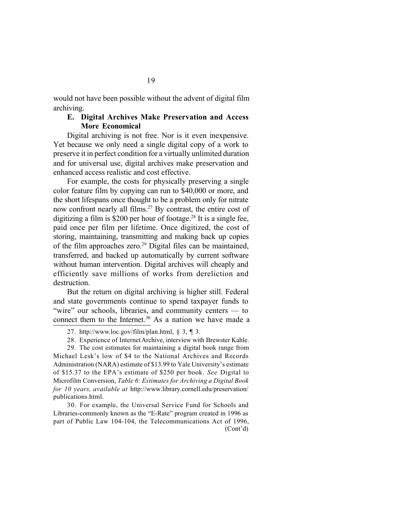would not have been possible without the advent of digital film archiving.

### **E. Digital Archives Make Preservation and Access More Economical**

Digital archiving is not free. Nor is it even inexpensive. Yet because we only need a single digital copy of a work to preserve it in perfect condition for a virtually unlimited duration and for universal use, digital archives make preservation and enhanced access realistic and cost effective.

For example, the costs for physically preserving a single color feature film by copying can run to \$40,000 or more, and the short lifespans once thought to be a problem only for nitrate now confront nearly all films.<sup>27</sup> By contrast, the entire cost of digitizing a film is \$200 per hour of footage.<sup>28</sup> It is a single fee, paid once per film per lifetime. Once digitized, the cost of storing, maintaining, transmitting and making back up copies of the film approaches zero.<sup>29</sup> Digital files can be maintained, transferred, and backed up automatically by current software without human intervention. Digital archives will cheaply and efficiently save millions of works from dereliction and destruction.

But the return on digital archiving is higher still. Federal and state governments continue to spend taxpayer funds to "wire" our schools, libraries, and community centers — to connect them to the Internet.<sup>30</sup> As a nation we have made a

28. Experience of Internet Archive, interview with Brewster Kahle.

29. The cost estimates for maintaining a digital book range from Michael Lesk's low of \$4 to the National Archives and Records Administration (NARA) estimate of \$13.99 to Yale University's estimate of \$15.37 to the EPA's estimate of \$250 per book. *See* Digital to Microfilm Conversion, *Table 6: Estimates for Archiving a Digital Book for 10 years, available at* http://www.library.cornell.edu/preservation/ publications.html.

30. For example, the Universal Service Fund for Schools and Libraries-commonly known as the "E-Rate" program created in 1996 as part of Public Law 104-104, the Telecommunications Act of 1996, (Cont'd)

<sup>27.</sup> http://www.loc.gov/film/plan.html,  $\S$  3,  $\P$  3.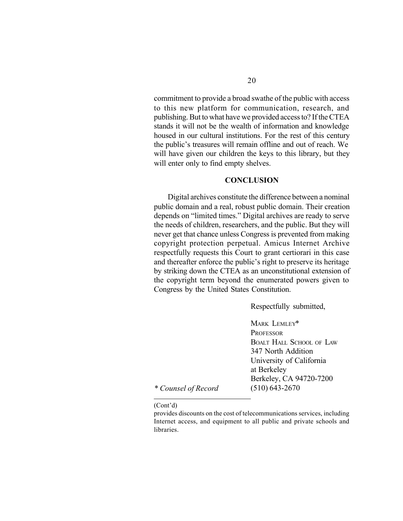commitment to provide a broad swathe of the public with access to this new platform for communication, research, and publishing. But to what have we provided access to? If the CTEA stands it will not be the wealth of information and knowledge housed in our cultural institutions. For the rest of this century the public's treasures will remain offline and out of reach. We will have given our children the keys to this library, but they will enter only to find empty shelves.

#### **CONCLUSION**

Digital archives constitute the difference between a nominal public domain and a real, robust public domain. Their creation depends on "limited times." Digital archives are ready to serve the needs of children, researchers, and the public. But they will never get that chance unless Congress is prevented from making copyright protection perpetual. Amicus Internet Archive respectfully requests this Court to grant certiorari in this case and thereafter enforce the public's right to preserve its heritage by striking down the CTEA as an unconstitutional extension of the copyright term beyond the enumerated powers given to Congress by the United States Constitution.

Respectfully submitted,

MARK LEMLEY\* **PROFESSOR** BOALT HALL SCHOOL OF LAW 347 North Addition University of California at Berkeley Berkeley, CA 94720-7200 (510) 643-2670

*\* Counsel of Record*

#### (Cont'd)

provides discounts on the cost of telecommunications services, including Internet access, and equipment to all public and private schools and **libraries**